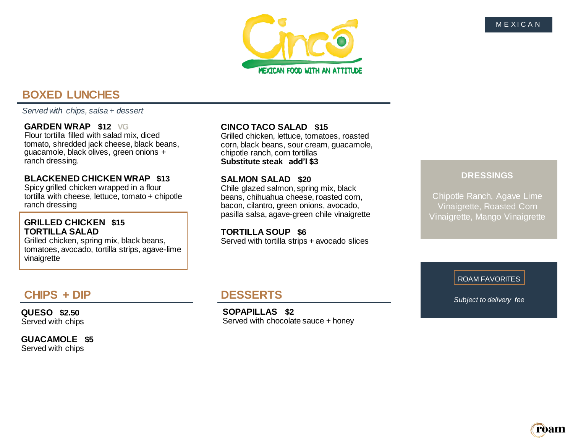

# **BOXED LUNCHES**

*Served with chips, salsa + dessert*

#### **GARDEN WRAP \$12 VG**

Flour tortilla filled with salad mix, diced tomato, shredded jack cheese, black beans, guacamole, black olives, green onions + ranch dressing.

#### **BLACKENED CHICKEN WRAP \$13**

Spicy grilled chicken wrapped in a flour tortilla with cheese, lettuce, tomato + chipotle ranch dressing

#### **GRILLED CHICKEN \$15 TORTILLA SALAD**

Grilled chicken, spring mix, black beans, tomatoes, avocado, tortilla strips, agave-lime vinaigrette

## **CINCO TACO SALAD \$15**

Grilled chicken, lettuce, tomatoes, roasted corn, black beans, sour cream, guacamole, chipotle ranch, corn tortillas **Substitute steak add'l \$3**

#### **SALMON SALAD \$20**

Chile glazed salmon, spring mix, black beans, chihuahua cheese, roasted corn, bacon, cilantro, green onions, avocado, pasilla salsa, agave-green chile vinaigrette

#### **TORTILLA SOUP \$6**

Served with tortilla strips + avocado slices

## **DRESSINGS**

Chipotle Ranch, Agave Lime Vinaigrette, Roasted Corn Vinaigrette, Mango Vinaigrette

*Subject to delivery fee*

ROAM FAVORITES

# **CHIPS + DIP**

**QUESO \$2.50**  Served with chips

**GUACAMOLE \$5** Served with chips

## **DESSERTS**

**SOPAPILLAS \$2** Served with chocolate sauce + honey